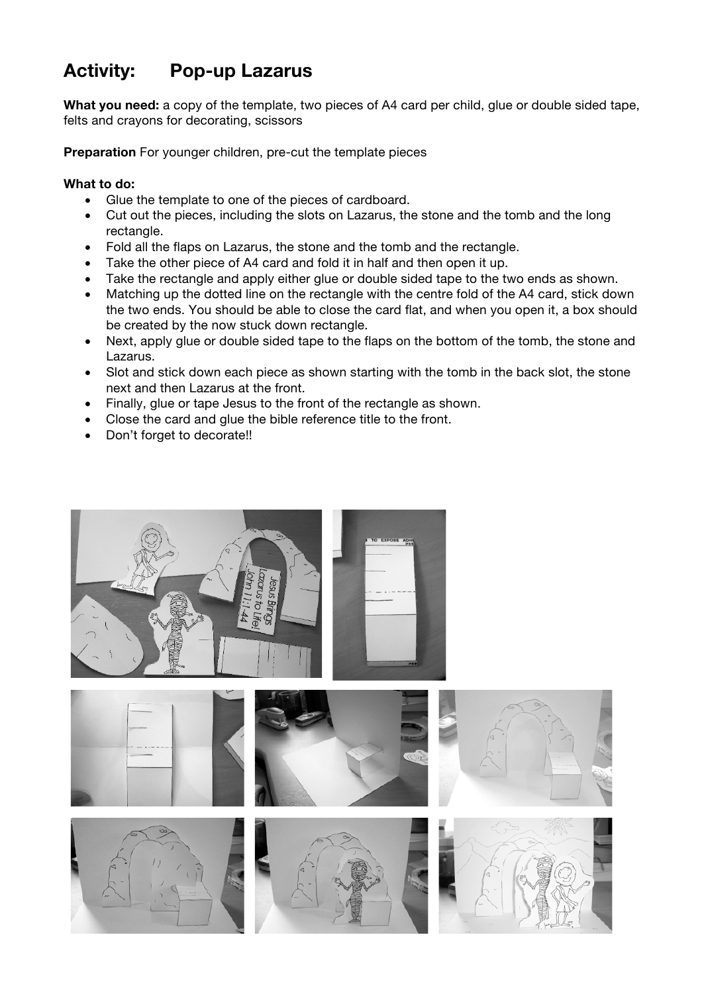## **Activity: Pop-up Lazarus**

**What you need:** a copy of the template, two pieces of A4 card per child, glue or double sided tape, felts and crayons for decorating, scissors

**Preparation** For younger children, pre-cut the template pieces

## **What to do:**

- Glue the template to one of the pieces of cardboard.
- Cut out the pieces, including the slots on Lazarus, the stone and the tomb and the long rectangle.
- Fold all the flaps on Lazarus, the stone and the tomb and the rectangle.
- Take the other piece of A4 card and fold it in half and then open it up.
- Take the rectangle and apply either glue or double sided tape to the two ends as shown.
- Matching up the dotted line on the rectangle with the centre fold of the A4 card, stick down the two ends. You should be able to close the card flat, and when you open it, a box should be created by the now stuck down rectangle.
- Next, apply glue or double sided tape to the flaps on the bottom of the tomb, the stone and Lazarus.
- Slot and stick down each piece as shown starting with the tomb in the back slot, the stone next and then Lazarus at the front.
- Finally, glue or tape Jesus to the front of the rectangle as shown.
- Close the card and glue the bible reference title to the front.
- Don't forget to decorate!!